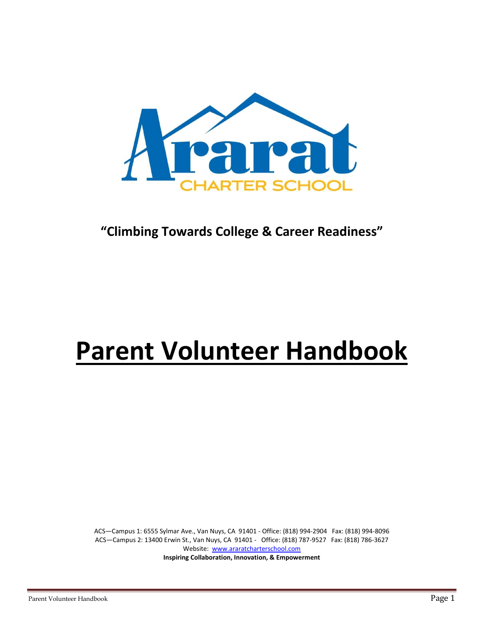

## **"Climbing Towards College & Career Readiness"**

# **Parent Volunteer Handbook**

ACS—Campus 1: 6555 Sylmar Ave., Van Nuys, CA 91401 - Office: (818) 994-2904 Fax: (818) 994-8096 ACS—Campus 2: 13400 Erwin St., Van Nuys, CA 91401 - Office: (818) 787-9527 Fax: (818) 786-3627 Website: [www.araratcharterschool.com](http://www.araratcharterschool.com/) **Inspiring Collaboration, Innovation, & Empowerment**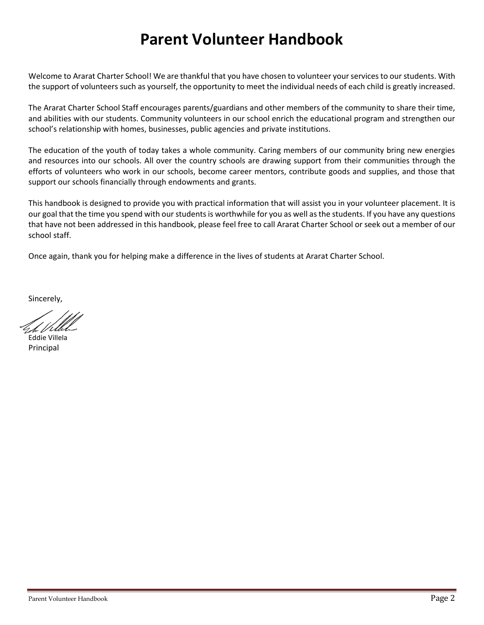# **Parent Volunteer Handbook**

Welcome to Ararat Charter School! We are thankful that you have chosen to volunteer your services to our students. With the support of volunteers such as yourself, the opportunity to meet the individual needs of each child is greatly increased.

The Ararat Charter School Staff encourages parents/guardians and other members of the community to share their time, and abilities with our students. Community volunteers in our school enrich the educational program and strengthen our school's relationship with homes, businesses, public agencies and private institutions.

The education of the youth of today takes a whole community. Caring members of our community bring new energies and resources into our schools. All over the country schools are drawing support from their communities through the efforts of volunteers who work in our schools, become career mentors, contribute goods and supplies, and those that support our schools financially through endowments and grants.

This handbook is designed to provide you with practical information that will assist you in your volunteer placement. It is our goal that the time you spend with our students is worthwhile for you as well as the students. If you have any questions that have not been addressed in this handbook, please feel free to call Ararat Charter School or seek out a member of our school staff.

Once again, thank you for helping make a difference in the lives of students at Ararat Charter School.

Sincerely,

Eddie Villela Principal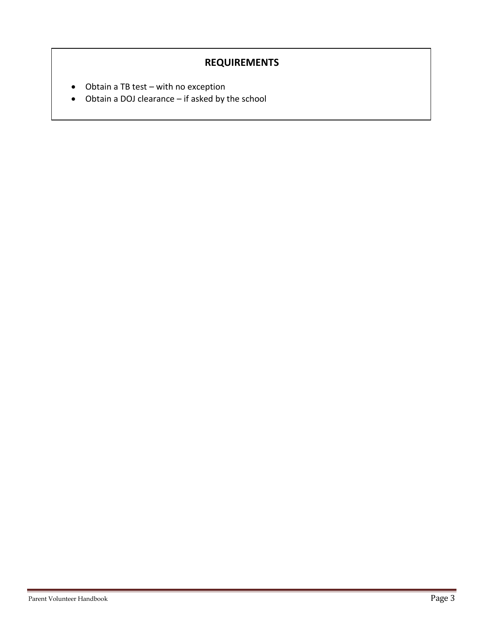## **REQUIREMENTS**

- Obtain a TB test with no exception
- Obtain a DOJ clearance if asked by the school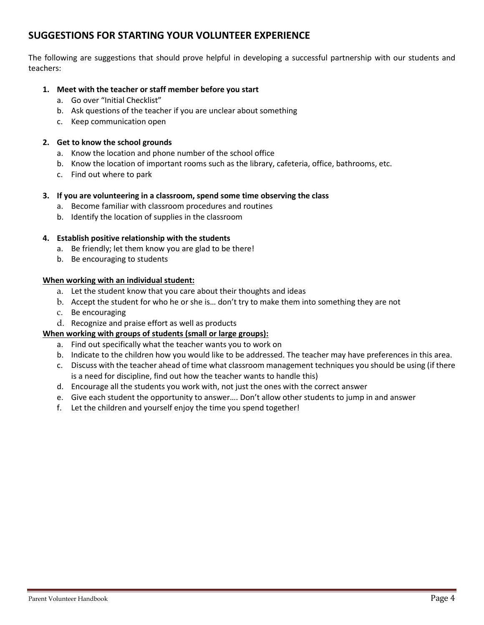## **SUGGESTIONS FOR STARTING YOUR VOLUNTEER EXPERIENCE**

The following are suggestions that should prove helpful in developing a successful partnership with our students and teachers:

#### **1. Meet with the teacher or staff member before you start**

- a. Go over "Initial Checklist"
- b. Ask questions of the teacher if you are unclear about something
- c. Keep communication open

#### **2. Get to know the school grounds**

- a. Know the location and phone number of the school office
- b. Know the location of important rooms such as the library, cafeteria, office, bathrooms, etc.
- c. Find out where to park

#### **3. If you are volunteering in a classroom, spend some time observing the class**

- a. Become familiar with classroom procedures and routines
- b. Identify the location of supplies in the classroom

#### **4. Establish positive relationship with the students**

- a. Be friendly; let them know you are glad to be there!
- b. Be encouraging to students

#### **When working with an individual student:**

- a. Let the student know that you care about their thoughts and ideas
- b. Accept the student for who he or she is… don't try to make them into something they are not
- c. Be encouraging
- d. Recognize and praise effort as well as products

#### **When working with groups of students (small or large groups):**

- a. Find out specifically what the teacher wants you to work on
- b. Indicate to the children how you would like to be addressed. The teacher may have preferences in this area.
- c. Discuss with the teacher ahead of time what classroom management techniques you should be using (if there is a need for discipline, find out how the teacher wants to handle this)
- d. Encourage all the students you work with, not just the ones with the correct answer
- e. Give each student the opportunity to answer…. Don't allow other students to jump in and answer
- f. Let the children and yourself enjoy the time you spend together!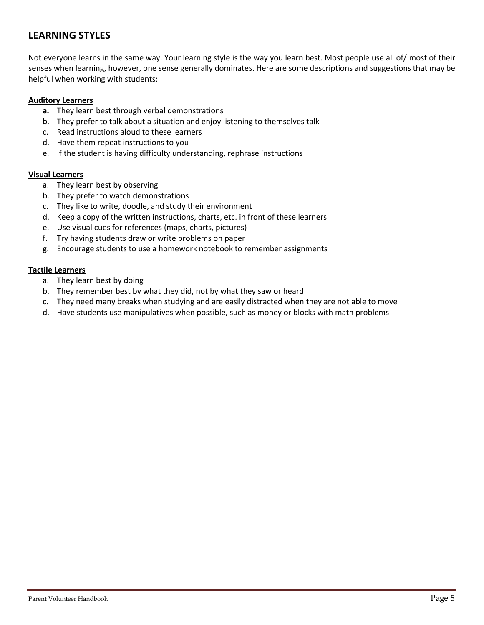## **LEARNING STYLES**

Not everyone learns in the same way. Your learning style is the way you learn best. Most people use all of/ most of their senses when learning, however, one sense generally dominates. Here are some descriptions and suggestions that may be helpful when working with students:

#### **Auditory Learners**

- **a.** They learn best through verbal demonstrations
- b. They prefer to talk about a situation and enjoy listening to themselves talk
- c. Read instructions aloud to these learners
- d. Have them repeat instructions to you
- e. If the student is having difficulty understanding, rephrase instructions

#### **Visual Learners**

- a. They learn best by observing
- b. They prefer to watch demonstrations
- c. They like to write, doodle, and study their environment
- d. Keep a copy of the written instructions, charts, etc. in front of these learners
- e. Use visual cues for references (maps, charts, pictures)
- f. Try having students draw or write problems on paper
- g. Encourage students to use a homework notebook to remember assignments

#### **Tactile Learners**

- a. They learn best by doing
- b. They remember best by what they did, not by what they saw or heard
- c. They need many breaks when studying and are easily distracted when they are not able to move
- d. Have students use manipulatives when possible, such as money or blocks with math problems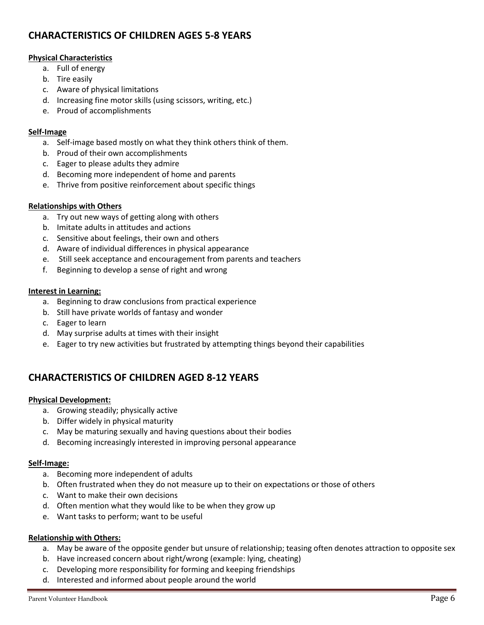## **CHARACTERISTICS OF CHILDREN AGES 5-8 YEARS**

#### **Physical Characteristics**

- a. Full of energy
- b. Tire easily
- c. Aware of physical limitations
- d. Increasing fine motor skills (using scissors, writing, etc.)
- e. Proud of accomplishments

#### **Self-Image**

- a. Self-image based mostly on what they think others think of them.
- b. Proud of their own accomplishments
- c. Eager to please adults they admire
- d. Becoming more independent of home and parents
- e. Thrive from positive reinforcement about specific things

#### **Relationships with Others**

- a. Try out new ways of getting along with others
- b. Imitate adults in attitudes and actions
- c. Sensitive about feelings, their own and others
- d. Aware of individual differences in physical appearance
- e. Still seek acceptance and encouragement from parents and teachers
- f. Beginning to develop a sense of right and wrong

#### **Interest in Learning:**

- a. Beginning to draw conclusions from practical experience
- b. Still have private worlds of fantasy and wonder
- c. Eager to learn
- d. May surprise adults at times with their insight
- e. Eager to try new activities but frustrated by attempting things beyond their capabilities

## **CHARACTERISTICS OF CHILDREN AGED 8-12 YEARS**

#### **Physical Development:**

- a. Growing steadily; physically active
- b. Differ widely in physical maturity
- c. May be maturing sexually and having questions about their bodies
- d. Becoming increasingly interested in improving personal appearance

#### **Self-Image:**

- a. Becoming more independent of adults
- b. Often frustrated when they do not measure up to their on expectations or those of others
- c. Want to make their own decisions
- d. Often mention what they would like to be when they grow up
- e. Want tasks to perform; want to be useful

#### **Relationship with Others:**

- a. May be aware of the opposite gender but unsure of relationship; teasing often denotes attraction to opposite sex
- b. Have increased concern about right/wrong (example: lying, cheating)
- c. Developing more responsibility for forming and keeping friendships
- d. Interested and informed about people around the world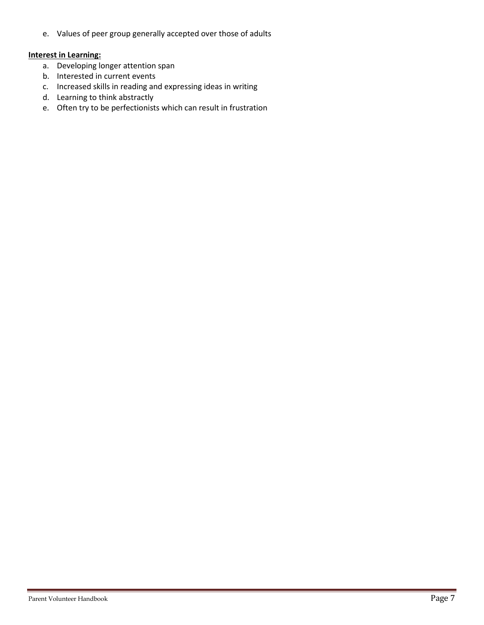e. Values of peer group generally accepted over those of adults

#### **Interest in Learning:**

- a. Developing longer attention span
- b. Interested in current events
- c. Increased skills in reading and expressing ideas in writing
- d. Learning to think abstractly
- e. Often try to be perfectionists which can result in frustration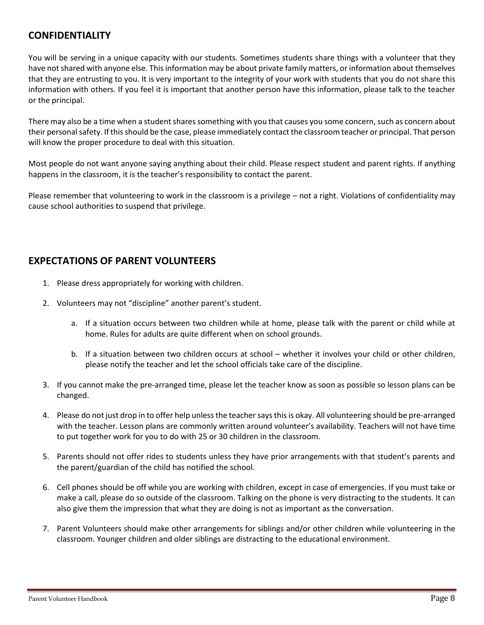## **CONFIDENTIALITY**

You will be serving in a unique capacity with our students. Sometimes students share things with a volunteer that they have not shared with anyone else. This information may be about private family matters, or information about themselves that they are entrusting to you. It is very important to the integrity of your work with students that you do not share this information with others. If you feel it is important that another person have this information, please talk to the teacher or the principal.

There may also be a time when a student shares something with you that causes you some concern, such as concern about their personal safety. If this should be the case, please immediately contact the classroom teacher or principal. That person will know the proper procedure to deal with this situation.

Most people do not want anyone saying anything about their child. Please respect student and parent rights. If anything happens in the classroom, it is the teacher's responsibility to contact the parent.

Please remember that volunteering to work in the classroom is a privilege – not a right. Violations of confidentiality may cause school authorities to suspend that privilege.

## **EXPECTATIONS OF PARENT VOLUNTEERS**

- 1. Please dress appropriately for working with children.
- 2. Volunteers may not "discipline" another parent's student.
	- a. If a situation occurs between two children while at home, please talk with the parent or child while at home. Rules for adults are quite different when on school grounds.
	- b. If a situation between two children occurs at school whether it involves your child or other children, please notify the teacher and let the school officials take care of the discipline.
- 3. If you cannot make the pre-arranged time, please let the teacher know as soon as possible so lesson plans can be changed.
- 4. Please do not just drop in to offer help unless the teacher says this is okay. All volunteering should be pre-arranged with the teacher. Lesson plans are commonly written around volunteer's availability. Teachers will not have time to put together work for you to do with 25 or 30 children in the classroom.
- 5. Parents should not offer rides to students unless they have prior arrangements with that student's parents and the parent/guardian of the child has notified the school.
- 6. Cell phones should be off while you are working with children, except in case of emergencies. If you must take or make a call, please do so outside of the classroom. Talking on the phone is very distracting to the students. It can also give them the impression that what they are doing is not as important as the conversation.
- 7. Parent Volunteers should make other arrangements for siblings and/or other children while volunteering in the classroom. Younger children and older siblings are distracting to the educational environment.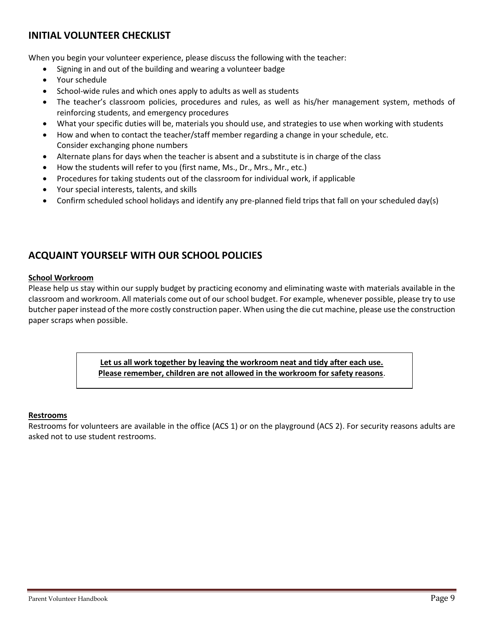## **INITIAL VOLUNTEER CHECKLIST**

When you begin your volunteer experience, please discuss the following with the teacher:

- Signing in and out of the building and wearing a volunteer badge
- Your schedule
- School-wide rules and which ones apply to adults as well as students
- The teacher's classroom policies, procedures and rules, as well as his/her management system, methods of reinforcing students, and emergency procedures
- What your specific duties will be, materials you should use, and strategies to use when working with students
- How and when to contact the teacher/staff member regarding a change in your schedule, etc. Consider exchanging phone numbers
- Alternate plans for days when the teacher is absent and a substitute is in charge of the class
- How the students will refer to you (first name, Ms., Dr., Mrs., Mr., etc.)
- Procedures for taking students out of the classroom for individual work, if applicable
- Your special interests, talents, and skills
- Confirm scheduled school holidays and identify any pre-planned field trips that fall on your scheduled day(s)

## **ACQUAINT YOURSELF WITH OUR SCHOOL POLICIES**

#### **School Workroom**

Please help us stay within our supply budget by practicing economy and eliminating waste with materials available in the classroom and workroom. All materials come out of our school budget. For example, whenever possible, please try to use butcher paper instead of the more costly construction paper. When using the die cut machine, please use the construction paper scraps when possible.

> **Let us all work together by leaving the workroom neat and tidy after each use. Please remember, children are not allowed in the workroom for safety reasons**.

#### **Restrooms**

Restrooms for volunteers are available in the office (ACS 1) or on the playground (ACS 2). For security reasons adults are asked not to use student restrooms.